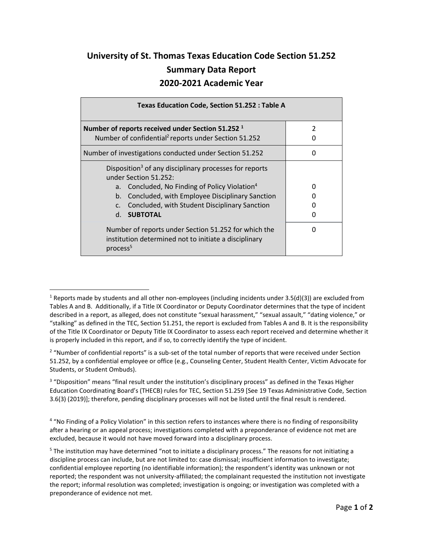## **University of St. Thomas Texas Education Code Section 51.252 Summary Data Report 2020-2021 Academic Year**

| <b>Texas Education Code, Section 51.252 : Table A</b>                                                                                 |                                                        |                    |  |
|---------------------------------------------------------------------------------------------------------------------------------------|--------------------------------------------------------|--------------------|--|
| Number of reports received under Section 51.252 <sup>1</sup><br>Number of confidential <sup>2</sup> reports under Section 51.252      |                                                        | $\mathfrak z$<br>O |  |
| Number of investigations conducted under Section 51.252                                                                               |                                                        | O                  |  |
| Disposition <sup>3</sup> of any disciplinary processes for reports<br>under Section 51.252:                                           |                                                        |                    |  |
| a.                                                                                                                                    | Concluded, No Finding of Policy Violation <sup>4</sup> | n                  |  |
| b.                                                                                                                                    | Concluded, with Employee Disciplinary Sanction         | O                  |  |
| C <sub>1</sub>                                                                                                                        | Concluded, with Student Disciplinary Sanction          | $\mathbf{U}$       |  |
| <b>SUBTOTAL</b><br>$d_{-}$                                                                                                            |                                                        | n                  |  |
| Number of reports under Section 51.252 for which the<br>institution determined not to initiate a disciplinary<br>process <sup>5</sup> |                                                        |                    |  |

 $\overline{a}$ 

<sup>&</sup>lt;sup>1</sup> Reports made by students and all other non-employees (including incidents under 3.5(d)(3)) are excluded from Tables A and B. Additionally, if a Title IX Coordinator or Deputy Coordinator determines that the type of incident described in a report, as alleged, does not constitute "sexual harassment," "sexual assault," "dating violence," or "stalking" as defined in the TEC, Section 51.251, the report is excluded from Tables A and B. It is the responsibility of the Title IX Coordinator or Deputy Title IX Coordinator to assess each report received and determine whether it is properly included in this report, and if so, to correctly identify the type of incident.

<sup>&</sup>lt;sup>2</sup> "Number of confidential reports" is a sub-set of the total number of reports that were received under Section 51.252, by a confidential employee or office (e.g., Counseling Center, Student Health Center, Victim Advocate for Students, or Student Ombuds).

<sup>&</sup>lt;sup>3</sup> "Disposition" means "final result under the institution's disciplinary process" as defined in the Texas Higher Education Coordinating Board's (THECB) rules for TEC, Section 51.259 [See 19 Texas Administrative Code, Section 3.6(3) (2019)]; therefore, pending disciplinary processes will not be listed until the final result is rendered.

<sup>&</sup>lt;sup>4</sup> "No Finding of a Policy Violation" in this section refers to instances where there is no finding of responsibility after a hearing or an appeal process; investigations completed with a preponderance of evidence not met are excluded, because it would not have moved forward into a disciplinary process.

<sup>&</sup>lt;sup>5</sup> The institution may have determined "not to initiate a disciplinary process." The reasons for not initiating a discipline process can include, but are not limited to: case dismissal; insufficient information to investigate; confidential employee reporting (no identifiable information); the respondent's identity was unknown or not reported; the respondent was not university-affiliated; the complainant requested the institution not investigate the report; informal resolution was completed; investigation is ongoing; or investigation was completed with a preponderance of evidence not met.